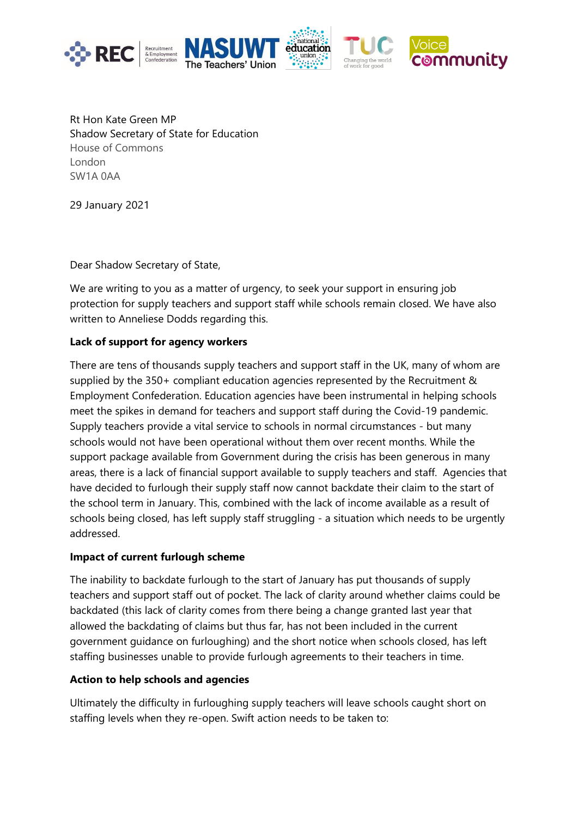





Rt Hon Kate Green MP Shadow Secretary of State for Education House of Commons London SW1A 0AA

29 January 2021

Dear Shadow Secretary of State,

We are writing to you as a matter of urgency, to seek your support in ensuring job protection for supply teachers and support staff while schools remain closed. We have also written to Anneliese Dodds regarding this.

## **Lack of support for agency workers**

There are tens of thousands supply teachers and support staff in the UK, many of whom are supplied by the 350+ compliant education agencies represented by the Recruitment & Employment Confederation. Education agencies have been instrumental in helping schools meet the spikes in demand for teachers and support staff during the Covid-19 pandemic. Supply teachers provide a vital service to schools in normal circumstances - but many schools would not have been operational without them over recent months. While the support package available from Government during the crisis has been generous in many areas, there is a lack of financial support available to supply teachers and staff. Agencies that have decided to furlough their supply staff now cannot backdate their claim to the start of the school term in January. This, combined with the lack of income available as a result of schools being closed, has left supply staff struggling - a situation which needs to be urgently addressed.

## **Impact of current furlough scheme**

The inability to backdate furlough to the start of January has put thousands of supply teachers and support staff out of pocket. The lack of clarity around whether claims could be backdated (this lack of clarity comes from there being a change granted last year that allowed the backdating of claims but thus far, has not been included in the current government guidance on furloughing) and the short notice when schools closed, has left staffing businesses unable to provide furlough agreements to their teachers in time.

## **Action to help schools and agencies**

Ultimately the difficulty in furloughing supply teachers will leave schools caught short on staffing levels when they re-open. Swift action needs to be taken to: